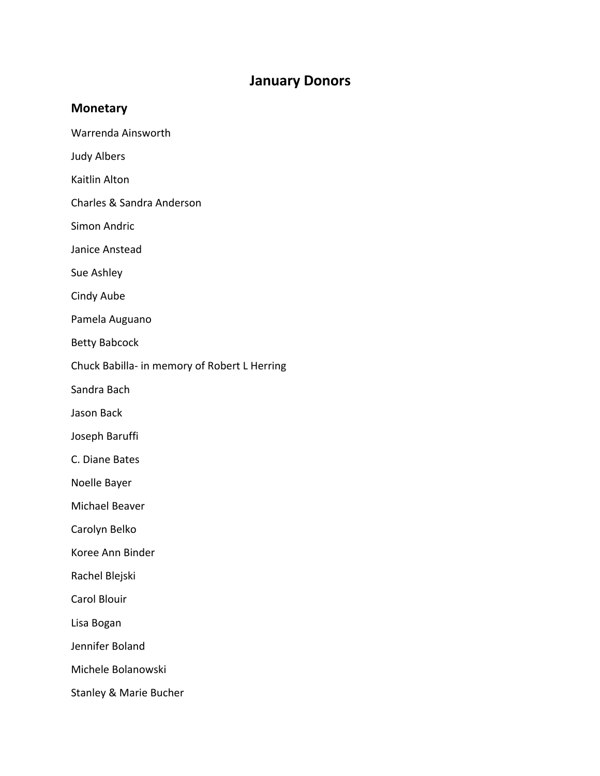## **January Donors**

## **Monetary**

Warrenda Ainsworth

Judy Albers

Kaitlin Alton

Charles & Sandra Anderson

Simon Andric

Janice Anstead

Sue Ashley

Cindy Aube

Pamela Auguano

Betty Babcock

Chuck Babilla- in memory of Robert L Herring

Sandra Bach

Jason Back

Joseph Baruffi

C. Diane Bates

Noelle Bayer

Michael Beaver

Carolyn Belko

Koree Ann Binder

Rachel Blejski

Carol Blouir

Lisa Bogan

Jennifer Boland

Michele Bolanowski

Stanley & Marie Bucher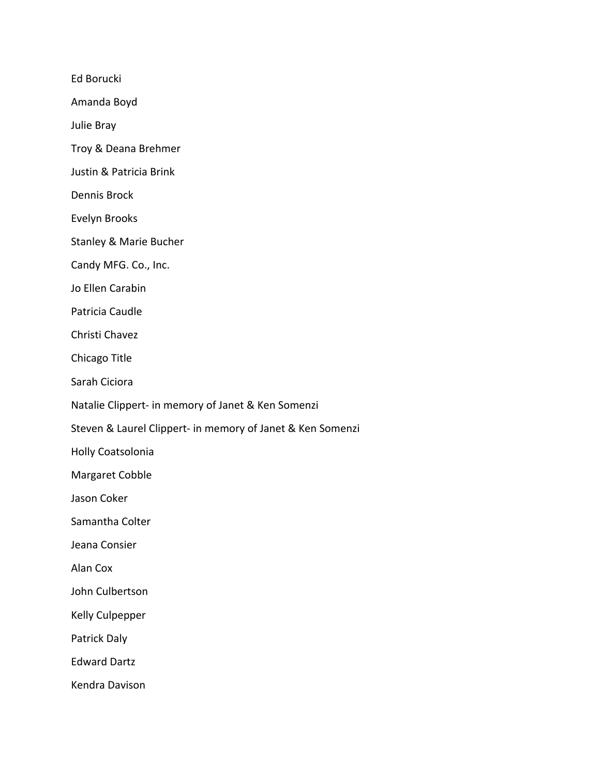Ed Borucki

Amanda Boyd

Julie Bray

Troy & Deana Brehmer

Justin & Patricia Brink

Dennis Brock

Evelyn Brooks

Stanley & Marie Bucher

Candy MFG. Co., Inc.

Jo Ellen Carabin

Patricia Caudle

Christi Chavez

Chicago Title

Sarah Ciciora

Natalie Clippert- in memory of Janet & Ken Somenzi

Steven & Laurel Clippert- in memory of Janet & Ken Somenzi

Holly Coatsolonia

Margaret Cobble

Jason Coker

Samantha Colter

Jeana Consier

Alan Cox

John Culbertson

Kelly Culpepper

Patrick Daly

Edward Dartz

Kendra Davison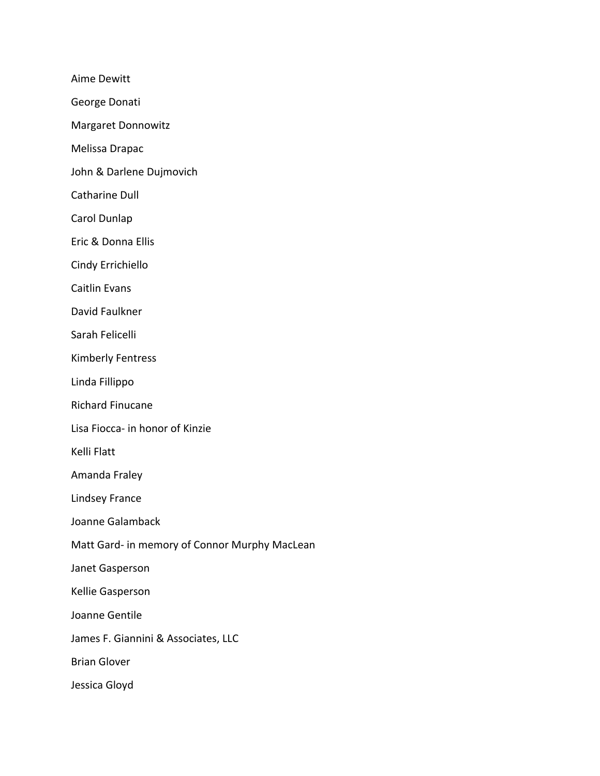Aime Dewitt

George Donati

Margaret Donnowitz

Melissa Drapac

John & Darlene Dujmovich

Catharine Dull

Carol Dunlap

Eric & Donna Ellis

Cindy Errichiello

Caitlin Evans

David Faulkner

Sarah Felicelli

Kimberly Fentress

Linda Fillippo

Richard Finucane

Lisa Fiocca- in honor of Kinzie

Kelli Flatt

Amanda Fraley

Lindsey France

Joanne Galamback

Matt Gard- in memory of Connor Murphy MacLean

Janet Gasperson

Kellie Gasperson

Joanne Gentile

James F. Giannini & Associates, LLC

Brian Glover

Jessica Gloyd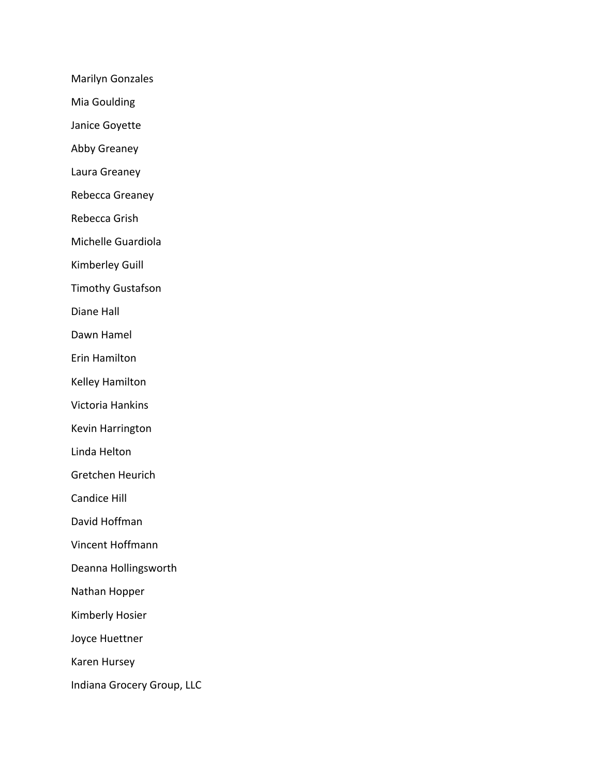Marilyn Gonzales

Mia Goulding

Janice Goyette

Abby Greaney

Laura Greaney

Rebecca Greaney

Rebecca Grish

Michelle Guardiola

Kimberley Guill

Timothy Gustafson

Diane Hall

Dawn Hamel

Erin Hamilton

Kelley Hamilton

Victoria Hankins

Kevin Harrington

Linda Helton

Gretchen Heurich

Candice Hill

David Hoffman

- Vincent Hoffmann
- Deanna Hollingsworth

Nathan Hopper

Kimberly Hosier

Joyce Huettner

Karen Hursey

Indiana Grocery Group, LLC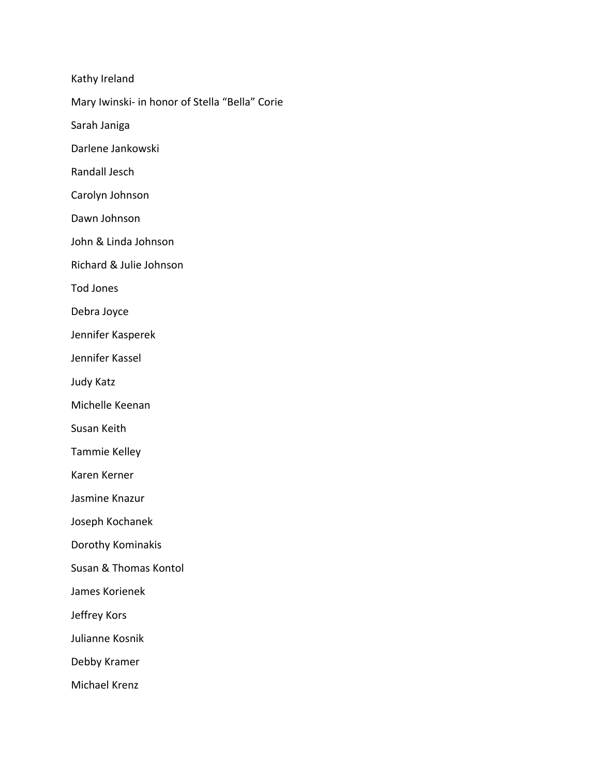Kathy Ireland

Mary Iwinski- in honor of Stella "Bella" Corie

Sarah Janiga

Darlene Jankowski

Randall Jesch

Carolyn Johnson

Dawn Johnson

John & Linda Johnson

Richard & Julie Johnson

Tod Jones

Debra Joyce

Jennifer Kasperek

Jennifer Kassel

Judy Katz

Michelle Keenan

Susan Keith

Tammie Kelley

Karen Kerner

Jasmine Knazur

Joseph Kochanek

Dorothy Kominakis

Susan & Thomas Kontol

James Korienek

Jeffrey Kors

Julianne Kosnik

Debby Kramer

Michael Krenz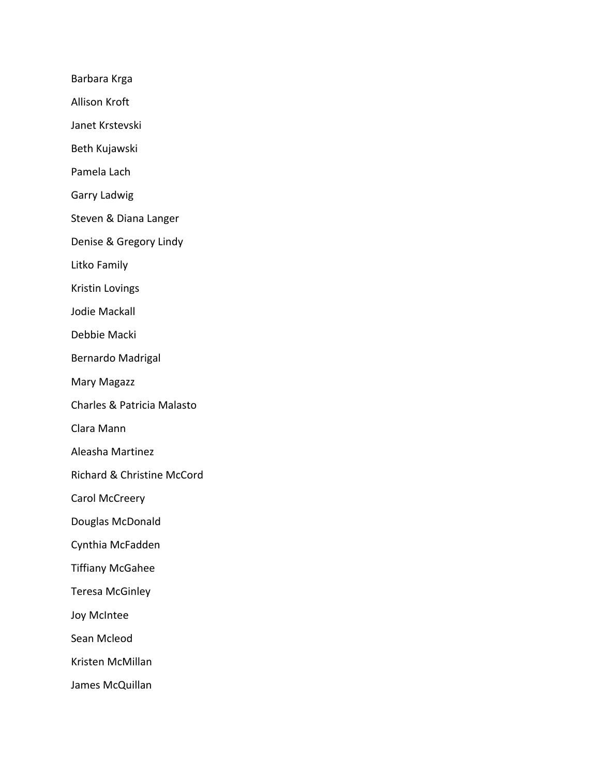Barbara Krga

Allison Kroft

Janet Krstevski

Beth Kujawski

Pamela Lach

Garry Ladwig

Steven & Diana Langer

Denise & Gregory Lindy

Litko Family

Kristin Lovings

Jodie Mackall

Debbie Macki

Bernardo Madrigal

Mary Magazz

Charles & Patricia Malasto

Clara Mann

Aleasha Martinez

Richard & Christine McCord

Carol McCreery

Douglas McDonald

Cynthia McFadden

Tiffiany McGahee

Teresa McGinley

Joy McIntee

Sean Mcleod

Kristen McMillan

James McQuillan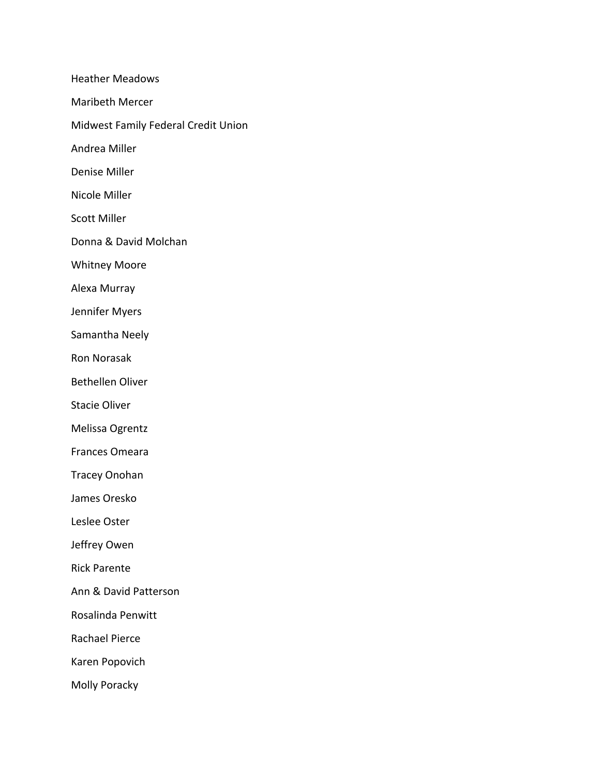Heather Meadows Maribeth Mercer Midwest Family Federal Credit Union Andrea Miller Denise Miller Nicole Miller Scott Miller Donna & David Molchan Whitney Moore Alexa Murray Jennifer Myers Samantha Neely Ron Norasak Bethellen Oliver Stacie Oliver Melissa Ogrentz Frances Omeara Tracey Onohan James Oresko Leslee Oster Jeffrey Owen Rick Parente Ann & David Patterson Rosalinda Penwitt Rachael Pierce Karen Popovich Molly Poracky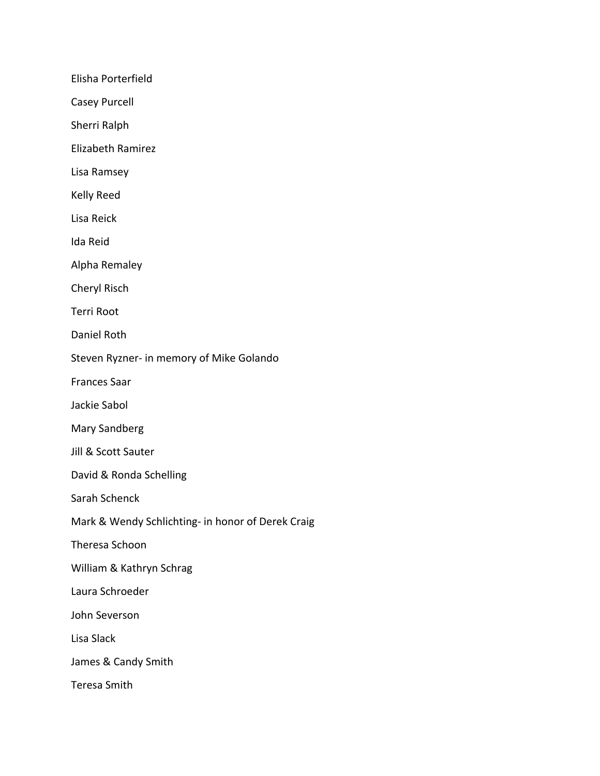Elisha Porterfield

Casey Purcell

Sherri Ralph

Elizabeth Ramirez

Lisa Ramsey

Kelly Reed

Lisa Reick

Ida Reid

Alpha Remaley

Cheryl Risch

Terri Root

Daniel Roth

Steven Ryzner- in memory of Mike Golando

Frances Saar

Jackie Sabol

Mary Sandberg

Jill & Scott Sauter

David & Ronda Schelling

Sarah Schenck

Mark & Wendy Schlichting- in honor of Derek Craig

Theresa Schoon

William & Kathryn Schrag

Laura Schroeder

John Severson

Lisa Slack

James & Candy Smith

Teresa Smith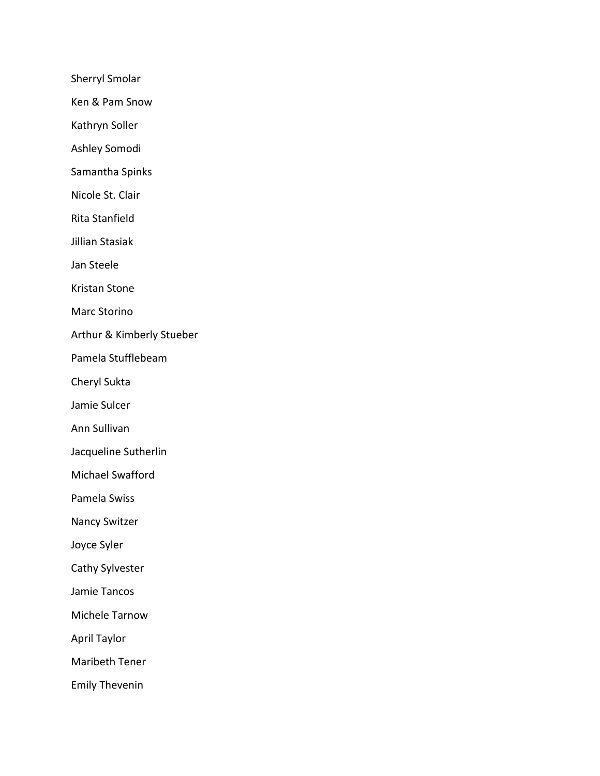Sherryl Smolar

Ken & Pam Snow

Kathryn Soller

Ashley Somodi

Samantha Spinks

Nicole St. Clair

Rita Stanfield

Jillian Stasiak

Jan Steele

Kristan Stone

Marc Storino

Arthur & Kimberly Stueber

Pamela Stufflebeam

Cheryl Sukta

Jamie Sulcer

Ann Sullivan

Jacqueline Sutherlin

Michael Swafford

Pamela Swiss

Nancy Switzer

Joyce Syler

Cathy Sylvester

Jamie Tancos

Michele Tarnow

April Taylor

Maribeth Tener

Emily Thevenin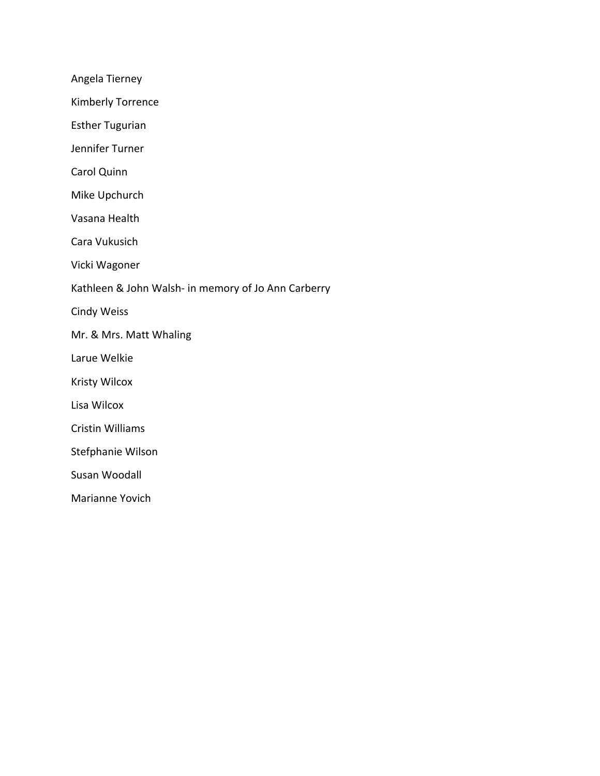Angela Tierney

Kimberly Torrence

Esther Tugurian

Jennifer Turner

Carol Quinn

Mike Upchurch

Vasana Health

Cara Vukusich

Vicki Wagoner

Kathleen & John Walsh- in memory of Jo Ann Carberry

Cindy Weiss

Mr. & Mrs. Matt Whaling

Larue Welkie

Kristy Wilcox

Lisa Wilcox

Cristin Williams

Stefphanie Wilson

Susan Woodall

Marianne Yovich